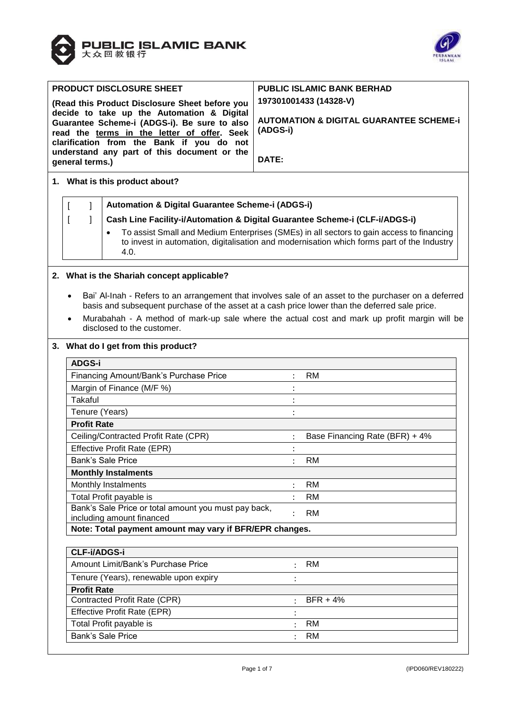



| <b>PRODUCT DISCLOSURE SHEET</b>                |                                                                                             |                                                                                                | <b>PUBLIC ISLAMIC BANK BERHAD</b>                  |                                                                                                       |  |  |  |  |  |
|------------------------------------------------|---------------------------------------------------------------------------------------------|------------------------------------------------------------------------------------------------|----------------------------------------------------|-------------------------------------------------------------------------------------------------------|--|--|--|--|--|
| (Read this Product Disclosure Sheet before you |                                                                                             |                                                                                                | 197301001433 (14328-V)                             |                                                                                                       |  |  |  |  |  |
| decide to take up the Automation & Digital     |                                                                                             |                                                                                                | <b>AUTOMATION &amp; DIGITAL GUARANTEE SCHEME-i</b> |                                                                                                       |  |  |  |  |  |
|                                                | Guarantee Scheme-i (ADGS-i). Be sure to also<br>read the terms in the letter of offer. Seek |                                                                                                |                                                    | (ADGS-i)                                                                                              |  |  |  |  |  |
|                                                |                                                                                             | clarification from the Bank if you do not                                                      |                                                    |                                                                                                       |  |  |  |  |  |
|                                                |                                                                                             | understand any part of this document or the                                                    | DATE:                                              |                                                                                                       |  |  |  |  |  |
|                                                | general terms.)                                                                             |                                                                                                |                                                    |                                                                                                       |  |  |  |  |  |
|                                                | 1. What is this product about?                                                              |                                                                                                |                                                    |                                                                                                       |  |  |  |  |  |
|                                                | Automation & Digital Guarantee Scheme-i (ADGS-i)<br>1<br>$\mathbf{I}$                       |                                                                                                |                                                    |                                                                                                       |  |  |  |  |  |
|                                                | 1                                                                                           | Cash Line Facility-i/Automation & Digital Guarantee Scheme-i (CLF-i/ADGS-i)                    |                                                    |                                                                                                       |  |  |  |  |  |
|                                                |                                                                                             | $\bullet$                                                                                      |                                                    | To assist Small and Medium Enterprises (SMEs) in all sectors to gain access to financing              |  |  |  |  |  |
|                                                |                                                                                             | 4.0.                                                                                           |                                                    | to invest in automation, digitalisation and modernisation which forms part of the Industry            |  |  |  |  |  |
|                                                |                                                                                             |                                                                                                |                                                    |                                                                                                       |  |  |  |  |  |
|                                                |                                                                                             | 2. What is the Shariah concept applicable?                                                     |                                                    |                                                                                                       |  |  |  |  |  |
|                                                |                                                                                             |                                                                                                |                                                    |                                                                                                       |  |  |  |  |  |
|                                                | $\bullet$                                                                                   | basis and subsequent purchase of the asset at a cash price lower than the deferred sale price. |                                                    | Bai' Al-Inah - Refers to an arrangement that involves sale of an asset to the purchaser on a deferred |  |  |  |  |  |
|                                                |                                                                                             |                                                                                                |                                                    | Murabahah - A method of mark-up sale where the actual cost and mark up profit margin will be          |  |  |  |  |  |
|                                                |                                                                                             | disclosed to the customer.                                                                     |                                                    |                                                                                                       |  |  |  |  |  |
|                                                | 3. What do I get from this product?                                                         |                                                                                                |                                                    |                                                                                                       |  |  |  |  |  |
|                                                | <b>ADGS-i</b>                                                                               |                                                                                                |                                                    |                                                                                                       |  |  |  |  |  |
|                                                | Financing Amount/Bank's Purchase Price<br><b>RM</b>                                         |                                                                                                |                                                    |                                                                                                       |  |  |  |  |  |
|                                                |                                                                                             | Margin of Finance (M/F %)                                                                      |                                                    |                                                                                                       |  |  |  |  |  |
|                                                | <b>Takaful</b>                                                                              |                                                                                                |                                                    |                                                                                                       |  |  |  |  |  |
|                                                | Tenure (Years)                                                                              |                                                                                                |                                                    |                                                                                                       |  |  |  |  |  |
|                                                | <b>Profit Rate</b>                                                                          |                                                                                                |                                                    |                                                                                                       |  |  |  |  |  |
|                                                |                                                                                             | Ceiling/Contracted Profit Rate (CPR)                                                           |                                                    | Base Financing Rate (BFR) + 4%                                                                        |  |  |  |  |  |
|                                                |                                                                                             | Effective Profit Rate (EPR)                                                                    |                                                    |                                                                                                       |  |  |  |  |  |
|                                                |                                                                                             | <b>Bank's Sale Price</b>                                                                       |                                                    | <b>RM</b>                                                                                             |  |  |  |  |  |
|                                                |                                                                                             | <b>Monthly Instalments</b>                                                                     |                                                    |                                                                                                       |  |  |  |  |  |
|                                                |                                                                                             | Monthly Instalments                                                                            |                                                    | RM                                                                                                    |  |  |  |  |  |
|                                                |                                                                                             | Total Profit payable is<br>Bank's Sale Price or total amount you must pay back,                |                                                    | <b>RM</b>                                                                                             |  |  |  |  |  |
|                                                |                                                                                             | including amount financed                                                                      |                                                    | <b>RM</b>                                                                                             |  |  |  |  |  |
|                                                | Note: Total payment amount may vary if BFR/EPR changes.                                     |                                                                                                |                                                    |                                                                                                       |  |  |  |  |  |
|                                                |                                                                                             |                                                                                                |                                                    |                                                                                                       |  |  |  |  |  |
|                                                | <b>CLF-i/ADGS-i</b>                                                                         |                                                                                                |                                                    |                                                                                                       |  |  |  |  |  |
|                                                |                                                                                             | Amount Limit/Bank's Purchase Price                                                             |                                                    | <b>RM</b>                                                                                             |  |  |  |  |  |
|                                                |                                                                                             | Tenure (Years), renewable upon expiry                                                          |                                                    |                                                                                                       |  |  |  |  |  |
|                                                | <b>Profit Rate</b>                                                                          |                                                                                                |                                                    |                                                                                                       |  |  |  |  |  |

Contracted Profit Rate (CPR)  $\qquad \qquad :$  BFR + 4%

Effective Profit Rate (EPR) : Total Profit payable is : RM : RM Bank's Sale Price : RM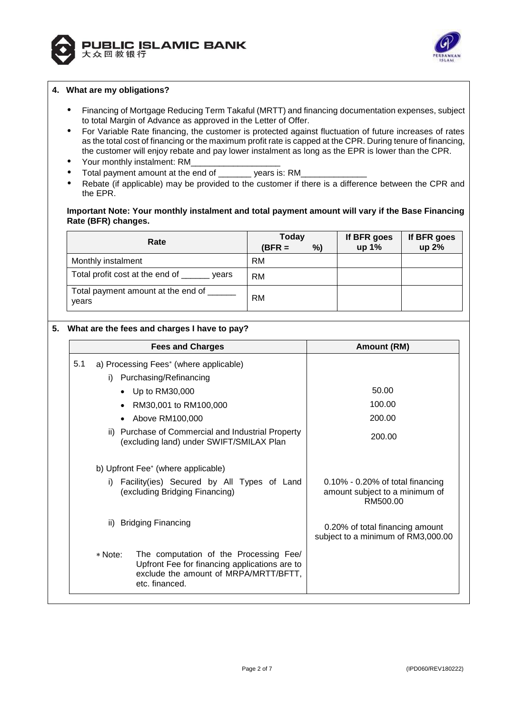



#### **4. What are my obligations?**

- Financing of Mortgage Reducing Term Takaful (MRTT) and financing documentation expenses, subject to total Margin of Advance as approved in the Letter of Offer.
- For Variable Rate financing, the customer is protected against fluctuation of future increases of rates as the total cost of financing or the maximum profit rate is capped at the CPR. During tenure of financing, the customer will enjoy rebate and pay lower instalment as long as the EPR is lower than the CPR.
- Your monthly instalment: RM
- Total payment amount at the end of vears is: RM
- Rebate (if applicable) may be provided to the customer if there is a difference between the CPR and the EPR.

### **Important Note: Your monthly instalment and total payment amount will vary if the Base Financing Rate (BFR) changes.**

| Rate                                          | <b>Today</b> |    | If BFR goes | If BFR goes |
|-----------------------------------------------|--------------|----|-------------|-------------|
|                                               | $(BFR =$     | %) | up 1%       | up 2%       |
| Monthly instalment                            | RM           |    |             |             |
| Total profit cost at the end of ____<br>vears | RM           |    |             |             |
| Total payment amount at the end of<br>years   | RM           |    |             |             |

# **5. What are the fees and charges I have to pay?**

|     | <b>Fees and Charges</b>                                                                                                                                       | Amount (RM)                                                                    |
|-----|---------------------------------------------------------------------------------------------------------------------------------------------------------------|--------------------------------------------------------------------------------|
| 5.1 | a) Processing Fees* (where applicable)                                                                                                                        |                                                                                |
|     | Purchasing/Refinancing<br>i).                                                                                                                                 |                                                                                |
|     | Up to RM30,000                                                                                                                                                | 50.00                                                                          |
|     | RM30,001 to RM100,000                                                                                                                                         | 100.00                                                                         |
|     | Above RM100,000                                                                                                                                               | 200.00                                                                         |
|     | ii) Purchase of Commercial and Industrial Property<br>(excluding land) under SWIFT/SMILAX Plan                                                                | 200.00                                                                         |
|     | b) Upfront Fee* (where applicable)                                                                                                                            |                                                                                |
|     | Facility(ies) Secured by All Types of Land<br>i)<br>(excluding Bridging Financing)                                                                            | 0.10% - 0.20% of total financing<br>amount subject to a minimum of<br>RM500.00 |
|     | <b>Bridging Financing</b><br>ii)                                                                                                                              | 0.20% of total financing amount<br>subject to a minimum of RM3,000.00          |
|     | The computation of the Processing Fee/<br>* Note:<br>Upfront Fee for financing applications are to<br>exclude the amount of MRPA/MRTT/BFTT,<br>etc. financed. |                                                                                |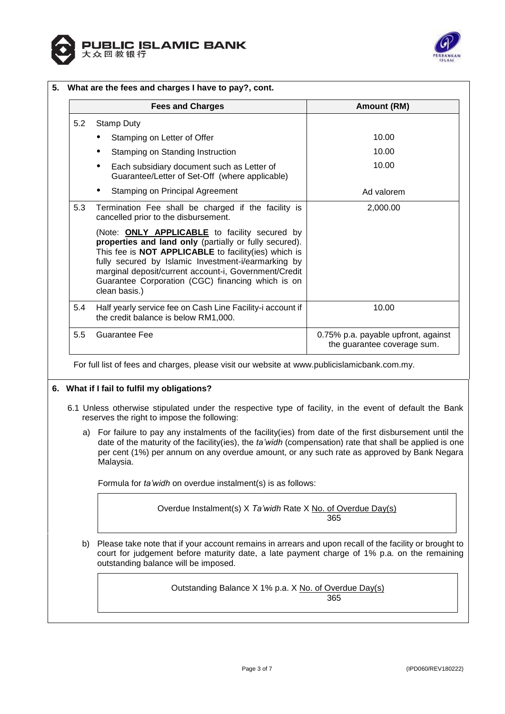



|     | <b>Fees and Charges</b>                                                                                                                                                                                                                                                                                                                                             | Amount (RM)                                                        |  |  |  |
|-----|---------------------------------------------------------------------------------------------------------------------------------------------------------------------------------------------------------------------------------------------------------------------------------------------------------------------------------------------------------------------|--------------------------------------------------------------------|--|--|--|
| 5.2 | <b>Stamp Duty</b>                                                                                                                                                                                                                                                                                                                                                   |                                                                    |  |  |  |
|     | Stamping on Letter of Offer                                                                                                                                                                                                                                                                                                                                         | 10.00                                                              |  |  |  |
|     | Stamping on Standing Instruction                                                                                                                                                                                                                                                                                                                                    | 10.00                                                              |  |  |  |
|     | Each subsidiary document such as Letter of<br>$\bullet$<br>Guarantee/Letter of Set-Off (where applicable)                                                                                                                                                                                                                                                           | 10.00                                                              |  |  |  |
|     | Stamping on Principal Agreement                                                                                                                                                                                                                                                                                                                                     | Ad valorem                                                         |  |  |  |
| 5.3 | Termination Fee shall be charged if the facility is<br>cancelled prior to the disbursement.                                                                                                                                                                                                                                                                         | 2,000.00                                                           |  |  |  |
|     | (Note: <b>ONLY APPLICABLE</b> to facility secured by<br>properties and land only (partially or fully secured).<br>This fee is <b>NOT APPLICABLE</b> to facility(ies) which is<br>fully secured by Islamic Investment-i/earmarking by<br>marginal deposit/current account-i, Government/Credit<br>Guarantee Corporation (CGC) financing which is on<br>clean basis.) |                                                                    |  |  |  |
| 5.4 | Half yearly service fee on Cash Line Facility-i account if<br>the credit balance is below RM1,000.                                                                                                                                                                                                                                                                  | 10.00                                                              |  |  |  |
| 5.5 | <b>Guarantee Fee</b>                                                                                                                                                                                                                                                                                                                                                | 0.75% p.a. payable upfront, against<br>the guarantee coverage sum. |  |  |  |

# **6. What if I fail to fulfil my obligations?**

- 6.1 Unless otherwise stipulated under the respective type of facility, in the event of default the Bank reserves the right to impose the following:
	- a) For failure to pay any instalments of the facility(ies) from date of the first disbursement until the date of the maturity of the facility(ies), the *ta'widh* (compensation) rate that shall be applied is one per cent (1%) per annum on any overdue amount, or any such rate as approved by Bank Negara Malaysia.

Formula for *ta'widh* on overdue instalment(s) is as follows:

Overdue Instalment(s) X *Ta'widh* Rate X No. of Overdue Day(s) 365

b) Please take note that if your account remains in arrears and upon recall of the facility or brought to court for judgement before maturity date, a late payment charge of 1% p.a. on the remaining outstanding balance will be imposed.

> Outstanding Balance X 1% p.a. X No. of Overdue Day(s) 365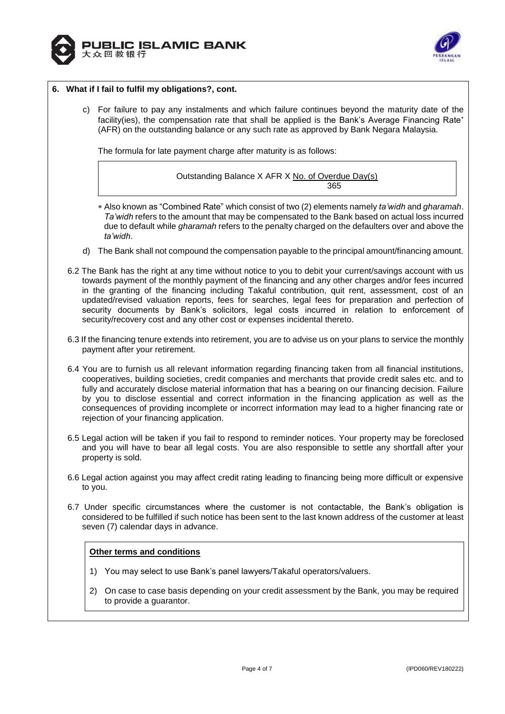



#### **6. What if I fail to fulfil my obligations?, cont.**

c) For failure to pay any instalments and which failure continues beyond the maturity date of the facility(ies), the compensation rate that shall be applied is the Bank's Average Financing Rate\* (AFR) on the outstanding balance or any such rate as approved by Bank Negara Malaysia.

The formula for late payment charge after maturity is as follows:



- Also known as "Combined Rate" which consist of two (2) elements namely *ta'widh* and *gharamah*. *Ta'widh* refers to the amount that may be compensated to the Bank based on actual loss incurred due to default while *gharamah* refers to the penalty charged on the defaulters over and above the *ta'widh*.
- d) The Bank shall not compound the compensation payable to the principal amount/financing amount.
- 6.2 The Bank has the right at any time without notice to you to debit your current/savings account with us towards payment of the monthly payment of the financing and any other charges and/or fees incurred in the granting of the financing including Takaful contribution, quit rent, assessment, cost of an updated/revised valuation reports, fees for searches, legal fees for preparation and perfection of security documents by Bank's solicitors, legal costs incurred in relation to enforcement of security/recovery cost and any other cost or expenses incidental thereto.
- 6.3 If the financing tenure extends into retirement, you are to advise us on your plans to service the monthly payment after your retirement.
- 6.4 You are to furnish us all relevant information regarding financing taken from all financial institutions, cooperatives, building societies, credit companies and merchants that provide credit sales etc. and to fully and accurately disclose material information that has a bearing on our financing decision. Failure by you to disclose essential and correct information in the financing application as well as the consequences of providing incomplete or incorrect information may lead to a higher financing rate or rejection of your financing application.
- 6.5 Legal action will be taken if you fail to respond to reminder notices. Your property may be foreclosed and you will have to bear all legal costs. You are also responsible to settle any shortfall after your property is sold.
- 6.6 Legal action against you may affect credit rating leading to financing being more difficult or expensive to you.
- 6.7 Under specific circumstances where the customer is not contactable, the Bank's obligation is considered to be fulfilled if such notice has been sent to the last known address of the customer at least seven (7) calendar days in advance.

# **Other terms and conditions**

- 1) You may select to use Bank's panel lawyers/Takaful operators/valuers.
- 2) On case to case basis depending on your credit assessment by the Bank, you may be required to provide a guarantor.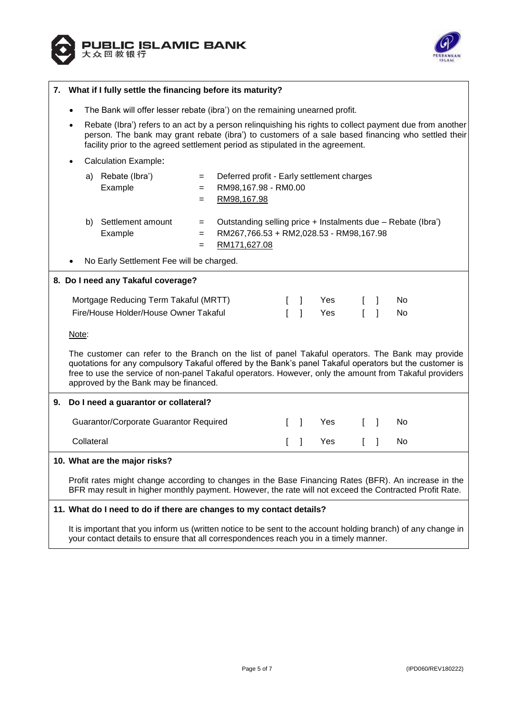



| 7. | What if I fully settle the financing before its maturity?                                                                                                                                                                                                                                                                                                        |                                                                                                                                                                                                                                                                                                  |                                          |                                                                     |                                                         |   |              |            |   |              |     |
|----|------------------------------------------------------------------------------------------------------------------------------------------------------------------------------------------------------------------------------------------------------------------------------------------------------------------------------------------------------------------|--------------------------------------------------------------------------------------------------------------------------------------------------------------------------------------------------------------------------------------------------------------------------------------------------|------------------------------------------|---------------------------------------------------------------------|---------------------------------------------------------|---|--------------|------------|---|--------------|-----|
|    |                                                                                                                                                                                                                                                                                                                                                                  | The Bank will offer lesser rebate (ibra') on the remaining unearned profit.                                                                                                                                                                                                                      |                                          |                                                                     |                                                         |   |              |            |   |              |     |
|    |                                                                                                                                                                                                                                                                                                                                                                  | Rebate (Ibra') refers to an act by a person relinguishing his rights to collect payment due from another<br>person. The bank may grant rebate (ibra') to customers of a sale based financing who settled their<br>facility prior to the agreed settlement period as stipulated in the agreement. |                                          |                                                                     |                                                         |   |              |            |   |              |     |
|    |                                                                                                                                                                                                                                                                                                                                                                  |                                                                                                                                                                                                                                                                                                  | <b>Calculation Example:</b>              |                                                                     |                                                         |   |              |            |   |              |     |
|    |                                                                                                                                                                                                                                                                                                                                                                  | a)                                                                                                                                                                                                                                                                                               | Rebate (Ibra')                           | $=$                                                                 | Deferred profit - Early settlement charges              |   |              |            |   |              |     |
|    |                                                                                                                                                                                                                                                                                                                                                                  |                                                                                                                                                                                                                                                                                                  | Example                                  | $=$                                                                 | RM98,167.98 - RM0.00                                    |   |              |            |   |              |     |
|    |                                                                                                                                                                                                                                                                                                                                                                  |                                                                                                                                                                                                                                                                                                  |                                          | $=$                                                                 | RM98,167.98                                             |   |              |            |   |              |     |
|    |                                                                                                                                                                                                                                                                                                                                                                  | b)                                                                                                                                                                                                                                                                                               | Settlement amount                        | Outstanding selling price + Instalments due - Rebate (Ibra')<br>$=$ |                                                         |   |              |            |   |              |     |
|    |                                                                                                                                                                                                                                                                                                                                                                  |                                                                                                                                                                                                                                                                                                  | Example                                  | $=$<br>$=$                                                          | RM267,766.53 + RM2,028.53 - RM98,167.98<br>RM171,627.08 |   |              |            |   |              |     |
|    |                                                                                                                                                                                                                                                                                                                                                                  |                                                                                                                                                                                                                                                                                                  | No Early Settlement Fee will be charged. |                                                                     |                                                         |   |              |            |   |              |     |
|    |                                                                                                                                                                                                                                                                                                                                                                  |                                                                                                                                                                                                                                                                                                  | 8. Do I need any Takaful coverage?       |                                                                     |                                                         |   |              |            |   |              |     |
|    |                                                                                                                                                                                                                                                                                                                                                                  |                                                                                                                                                                                                                                                                                                  | Mortgage Reducing Term Takaful (MRTT)    |                                                                     |                                                         |   |              | <b>Yes</b> |   |              | No. |
|    | Fire/House Holder/House Owner Takaful                                                                                                                                                                                                                                                                                                                            |                                                                                                                                                                                                                                                                                                  |                                          |                                                                     |                                                         | L | $\mathbf{I}$ | Yes        | L | $\mathbf{1}$ | No  |
|    |                                                                                                                                                                                                                                                                                                                                                                  | Note:                                                                                                                                                                                                                                                                                            |                                          |                                                                     |                                                         |   |              |            |   |              |     |
|    | The customer can refer to the Branch on the list of panel Takaful operators. The Bank may provide<br>quotations for any compulsory Takaful offered by the Bank's panel Takaful operators but the customer is<br>free to use the service of non-panel Takaful operators. However, only the amount from Takaful providers<br>approved by the Bank may be financed. |                                                                                                                                                                                                                                                                                                  |                                          |                                                                     |                                                         |   |              |            |   |              |     |
| 9. |                                                                                                                                                                                                                                                                                                                                                                  | Do I need a guarantor or collateral?                                                                                                                                                                                                                                                             |                                          |                                                                     |                                                         |   |              |            |   |              |     |
|    |                                                                                                                                                                                                                                                                                                                                                                  |                                                                                                                                                                                                                                                                                                  |                                          |                                                                     |                                                         |   |              |            |   |              |     |
|    |                                                                                                                                                                                                                                                                                                                                                                  |                                                                                                                                                                                                                                                                                                  | Guarantor/Corporate Guarantor Required   |                                                                     |                                                         |   | $\mathbf{I}$ | Yes        |   | -1           | No  |
|    |                                                                                                                                                                                                                                                                                                                                                                  | Collateral                                                                                                                                                                                                                                                                                       |                                          |                                                                     |                                                         |   |              | Yes        |   | I            | No  |
|    | 10. What are the major risks?                                                                                                                                                                                                                                                                                                                                    |                                                                                                                                                                                                                                                                                                  |                                          |                                                                     |                                                         |   |              |            |   |              |     |
|    | Profit rates might change according to changes in the Base Financing Rates (BFR). An increase in the<br>BFR may result in higher monthly payment. However, the rate will not exceed the Contracted Profit Rate.                                                                                                                                                  |                                                                                                                                                                                                                                                                                                  |                                          |                                                                     |                                                         |   |              |            |   |              |     |
|    | 11. What do I need to do if there are changes to my contact details?                                                                                                                                                                                                                                                                                             |                                                                                                                                                                                                                                                                                                  |                                          |                                                                     |                                                         |   |              |            |   |              |     |
|    |                                                                                                                                                                                                                                                                                                                                                                  |                                                                                                                                                                                                                                                                                                  |                                          |                                                                     |                                                         |   |              |            |   |              |     |

It is important that you inform us (written notice to be sent to the account holding branch) of any change in your contact details to ensure that all correspondences reach you in a timely manner.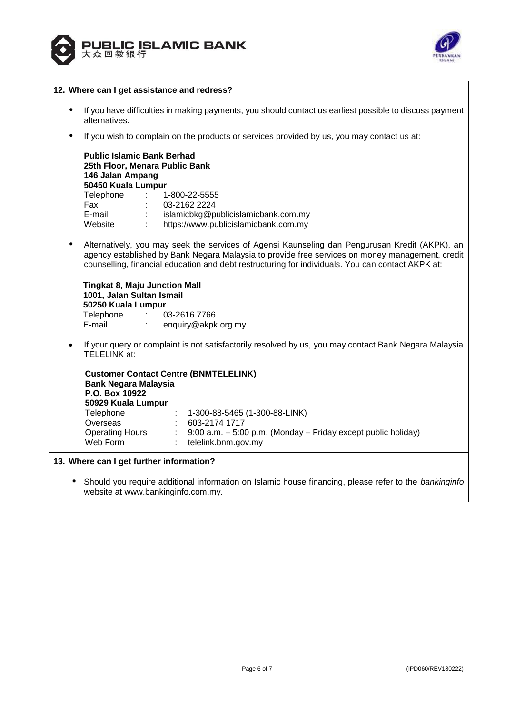



|           | 12. Where can I get assistance and redress?                                                                                                                                                                                                                                                            |  |  |  |  |  |
|-----------|--------------------------------------------------------------------------------------------------------------------------------------------------------------------------------------------------------------------------------------------------------------------------------------------------------|--|--|--|--|--|
| ٠         | If you have difficulties in making payments, you should contact us earliest possible to discuss payment<br>alternatives.                                                                                                                                                                               |  |  |  |  |  |
| $\bullet$ | If you wish to complain on the products or services provided by us, you may contact us at:                                                                                                                                                                                                             |  |  |  |  |  |
|           | <b>Public Islamic Bank Berhad</b><br>25th Floor, Menara Public Bank<br>146 Jalan Ampang<br>50450 Kuala Lumpur<br>Telephone<br>$\sim 10^{11}$ m $^{-1}$<br>1-800-22-5555<br>03-2162 2224<br>Fax<br>E-mail<br>islamicbkg@publicislamicbank.com.my<br>Website<br>https://www.publicislamicbank.com.my     |  |  |  |  |  |
| ٠         | Alternatively, you may seek the services of Agensi Kaunseling dan Pengurusan Kredit (AKPK), an<br>agency established by Bank Negara Malaysia to provide free services on money management, credit<br>counselling, financial education and debt restructuring for individuals. You can contact AKPK at: |  |  |  |  |  |
|           | <b>Tingkat 8, Maju Junction Mall</b><br>1001, Jalan Sultan Ismail<br>50250 Kuala Lumpur<br>Telephone<br>03-2616 7766<br>E-mail<br>$\mathbb{R}^{n \times n}$<br>enquiry@akpk.org.my                                                                                                                     |  |  |  |  |  |
| $\bullet$ | If your query or complaint is not satisfactorily resolved by us, you may contact Bank Negara Malaysia<br><b>TELELINK at:</b>                                                                                                                                                                           |  |  |  |  |  |
|           | <b>Customer Contact Centre (BNMTELELINK)</b><br><b>Bank Negara Malaysia</b><br>P.O. Box 10922<br>50929 Kuala Lumpur                                                                                                                                                                                    |  |  |  |  |  |
|           | Telephone<br>1-300-88-5465 (1-300-88-LINK)                                                                                                                                                                                                                                                             |  |  |  |  |  |
|           | 603-2174 1717<br>Overseas<br><b>Operating Hours</b><br>9:00 a.m. - 5:00 p.m. (Monday - Friday except public holiday)<br>Web Form<br>telelink.bnm.gov.my                                                                                                                                                |  |  |  |  |  |
|           | 13. Where can I get further information?                                                                                                                                                                                                                                                               |  |  |  |  |  |
|           | Should you require additional information on Islamic house financing, please refer to the bankinginfo<br>website at www.bankinginfo.com.my.                                                                                                                                                            |  |  |  |  |  |